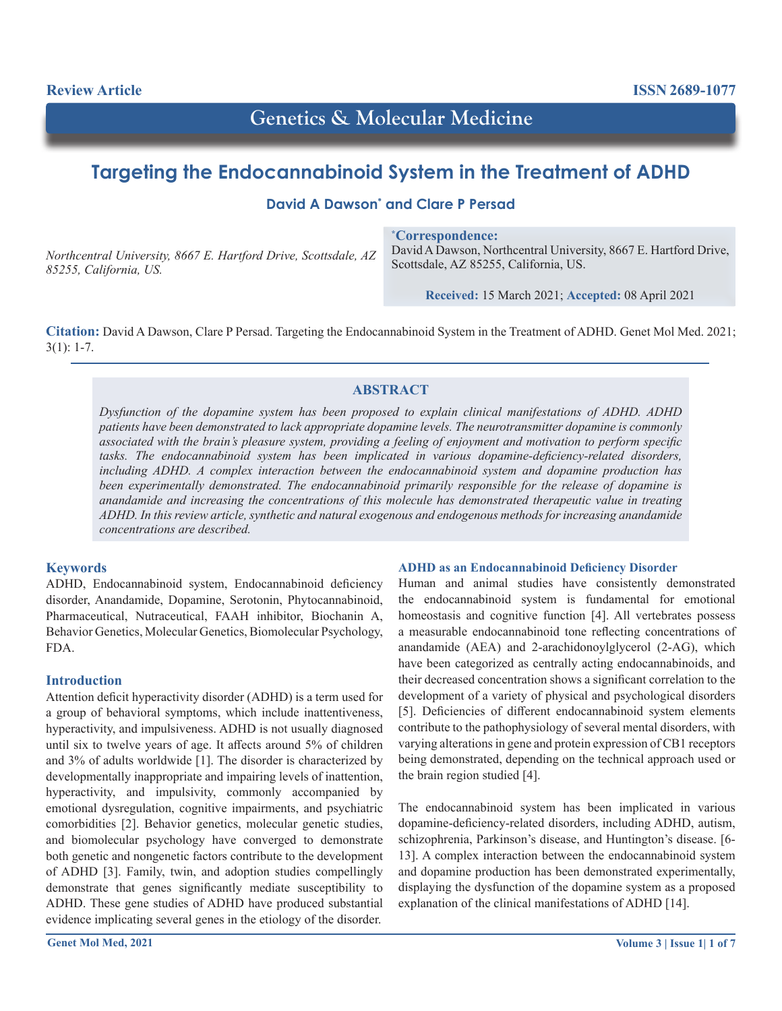# **Genetics & Molecular Medicine**

## **Targeting the Endocannabinoid System in the Treatment of ADHD**

**David A Dawson\* and Clare P Persad**

*Northcentral University, 8667 E. Hartford Drive, Scottsdale, AZ 85255, California, US.*

**\* Correspondence:** David A Dawson, Northcentral University, 8667 E. Hartford Drive, Scottsdale, AZ 85255, California, US.

**Received:** 15 March 2021; **Accepted:** 08 April 2021

**Citation:** David A Dawson, Clare P Persad. Targeting the Endocannabinoid System in the Treatment of ADHD. Genet Mol Med. 2021;  $3(1): 1-7.$ 

## **ABSTRACT**

*Dysfunction of the dopamine system has been proposed to explain clinical manifestations of ADHD. ADHD patients have been demonstrated to lack appropriate dopamine levels. The neurotransmitter dopamine is commonly associated with the brain's pleasure system, providing a feeling of enjoyment and motivation to perform specific tasks. The endocannabinoid system has been implicated in various dopamine-deficiency-related disorders, including ADHD. A complex interaction between the endocannabinoid system and dopamine production has been experimentally demonstrated. The endocannabinoid primarily responsible for the release of dopamine is anandamide and increasing the concentrations of this molecule has demonstrated therapeutic value in treating ADHD. In this review article, synthetic and natural exogenous and endogenous methods for increasing anandamide concentrations are described.*

## **Keywords**

ADHD, Endocannabinoid system, Endocannabinoid deficiency disorder, Anandamide, Dopamine, Serotonin, Phytocannabinoid, Pharmaceutical, Nutraceutical, FAAH inhibitor, Biochanin A, Behavior Genetics, Molecular Genetics, Biomolecular Psychology, FDA.

#### **Introduction**

Attention deficit hyperactivity disorder (ADHD) is a term used for a group of behavioral symptoms, which include inattentiveness, hyperactivity, and impulsiveness. ADHD is not usually diagnosed until six to twelve years of age. It affects around 5% of children and 3% of adults worldwide [1]. The disorder is characterized by developmentally inappropriate and impairing levels of inattention, hyperactivity, and impulsivity, commonly accompanied by emotional dysregulation, cognitive impairments, and psychiatric comorbidities [2]. Behavior genetics, molecular genetic studies, and biomolecular psychology have converged to demonstrate both genetic and nongenetic factors contribute to the development of ADHD [3]. Family, twin, and adoption studies compellingly demonstrate that genes significantly mediate susceptibility to ADHD. These gene studies of ADHD have produced substantial evidence implicating several genes in the etiology of the disorder.

## **ADHD as an Endocannabinoid Deficiency Disorder**

Human and animal studies have consistently demonstrated the endocannabinoid system is fundamental for emotional homeostasis and cognitive function [4]. All vertebrates possess a measurable endocannabinoid tone reflecting concentrations of anandamide (AEA) and 2-arachidonoylglycerol (2-AG), which have been categorized as centrally acting endocannabinoids, and their decreased concentration shows a significant correlation to the development of a variety of physical and psychological disorders [5]. Deficiencies of different endocannabinoid system elements contribute to the pathophysiology of several mental disorders, with varying alterations in gene and protein expression of CB1 receptors being demonstrated, depending on the technical approach used or the brain region studied [4].

The endocannabinoid system has been implicated in various dopamine-deficiency-related disorders, including ADHD, autism, schizophrenia, Parkinson's disease, and Huntington's disease. [6- 13]. A complex interaction between the endocannabinoid system and dopamine production has been demonstrated experimentally, displaying the dysfunction of the dopamine system as a proposed explanation of the clinical manifestations of ADHD [14].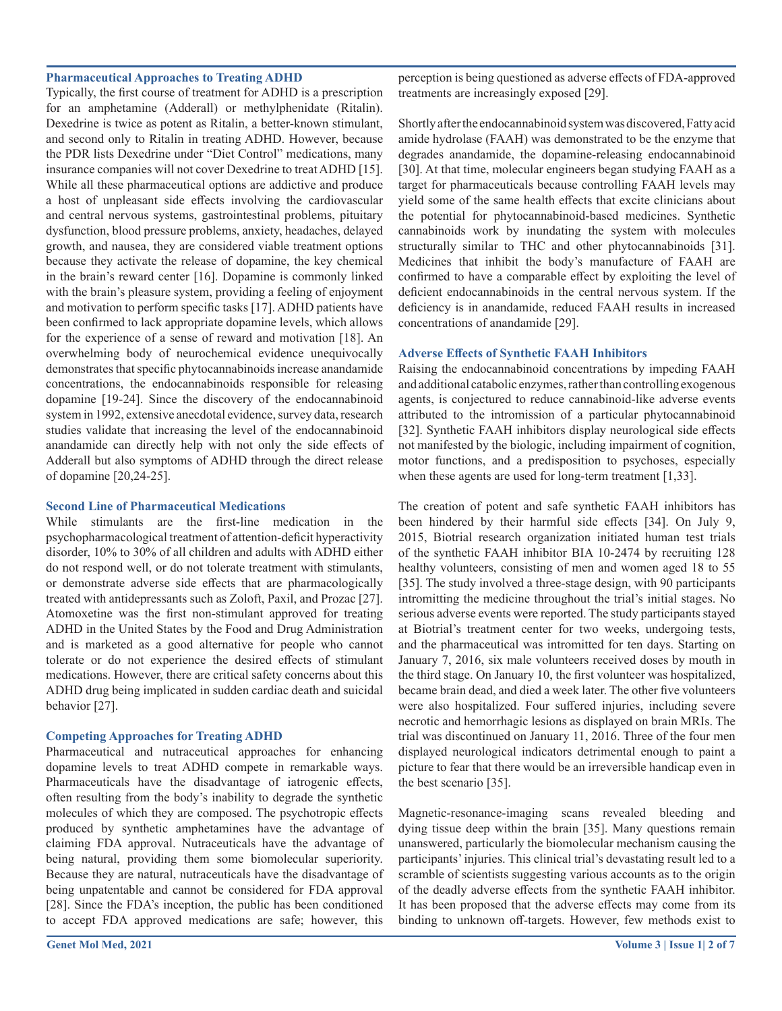#### **Pharmaceutical Approaches to Treating ADHD**

Typically, the first course of treatment for ADHD is a prescription for an amphetamine (Adderall) or methylphenidate (Ritalin). Dexedrine is twice as potent as Ritalin, a better-known stimulant, and second only to Ritalin in treating ADHD. However, because the PDR lists Dexedrine under "Diet Control" medications, many insurance companies will not cover Dexedrine to treat ADHD [15]. While all these pharmaceutical options are addictive and produce a host of unpleasant side effects involving the cardiovascular and central nervous systems, gastrointestinal problems, pituitary dysfunction, blood pressure problems, anxiety, headaches, delayed growth, and nausea, they are considered viable treatment options because they activate the release of dopamine, the key chemical in the brain's reward center [16]. Dopamine is commonly linked with the brain's pleasure system, providing a feeling of enjoyment and motivation to perform specific tasks [17]. ADHD patients have been confirmed to lack appropriate dopamine levels, which allows for the experience of a sense of reward and motivation [18]. An overwhelming body of neurochemical evidence unequivocally demonstrates that specific phytocannabinoids increase anandamide concentrations, the endocannabinoids responsible for releasing dopamine [19-24]. Since the discovery of the endocannabinoid system in 1992, extensive anecdotal evidence, survey data, research studies validate that increasing the level of the endocannabinoid anandamide can directly help with not only the side effects of Adderall but also symptoms of ADHD through the direct release of dopamine [20,24-25].

#### **Second Line of Pharmaceutical Medications**

While stimulants are the first-line medication in the psychopharmacological treatment of attention-deficit hyperactivity disorder, 10% to 30% of all children and adults with ADHD either do not respond well, or do not tolerate treatment with stimulants, or demonstrate adverse side effects that are pharmacologically treated with antidepressants such as Zoloft, Paxil, and Prozac [27]. Atomoxetine was the first non-stimulant approved for treating ADHD in the United States by the Food and Drug Administration and is marketed as a good alternative for people who cannot tolerate or do not experience the desired effects of stimulant medications. However, there are critical safety concerns about this ADHD drug being implicated in sudden cardiac death and suicidal behavior [27].

#### **Competing Approaches for Treating ADHD**

Pharmaceutical and nutraceutical approaches for enhancing dopamine levels to treat ADHD compete in remarkable ways. Pharmaceuticals have the disadvantage of iatrogenic effects, often resulting from the body's inability to degrade the synthetic molecules of which they are composed. The psychotropic effects produced by synthetic amphetamines have the advantage of claiming FDA approval. Nutraceuticals have the advantage of being natural, providing them some biomolecular superiority. Because they are natural, nutraceuticals have the disadvantage of being unpatentable and cannot be considered for FDA approval [28]. Since the FDA's inception, the public has been conditioned to accept FDA approved medications are safe; however, this

**Genet Mol Med, 2021 Volume 3 | Issue 1| 2 of 7**

perception is being questioned as adverse effects of FDA-approved treatments are increasingly exposed [29].

Shortly after the endocannabinoid system was discovered, Fatty acid amide hydrolase (FAAH) was demonstrated to be the enzyme that degrades anandamide, the dopamine-releasing endocannabinoid [30]. At that time, molecular engineers began studying FAAH as a target for pharmaceuticals because controlling FAAH levels may yield some of the same health effects that excite clinicians about the potential for phytocannabinoid-based medicines. Synthetic cannabinoids work by inundating the system with molecules structurally similar to THC and other phytocannabinoids [31]. Medicines that inhibit the body's manufacture of FAAH are confirmed to have a comparable effect by exploiting the level of deficient endocannabinoids in the central nervous system. If the deficiency is in anandamide, reduced FAAH results in increased concentrations of anandamide [29].

#### **Adverse Effects of Synthetic FAAH Inhibitors**

Raising the endocannabinoid concentrations by impeding FAAH and additional catabolic enzymes, rather than controlling exogenous agents, is conjectured to reduce cannabinoid-like adverse events attributed to the intromission of a particular phytocannabinoid [32]. Synthetic FAAH inhibitors display neurological side effects not manifested by the biologic, including impairment of cognition, motor functions, and a predisposition to psychoses, especially when these agents are used for long-term treatment [1,33].

The creation of potent and safe synthetic FAAH inhibitors has been hindered by their harmful side effects [34]. On July 9, 2015, Biotrial research organization initiated human test trials of the synthetic FAAH inhibitor BIA 10-2474 by recruiting 128 healthy volunteers, consisting of men and women aged 18 to 55 [35]. The study involved a three-stage design, with 90 participants intromitting the medicine throughout the trial's initial stages. No serious adverse events were reported. The study participants stayed at Biotrial's treatment center for two weeks, undergoing tests, and the pharmaceutical was intromitted for ten days. Starting on January 7, 2016, six male volunteers received doses by mouth in the third stage. On January 10, the first volunteer was hospitalized, became brain dead, and died a week later. The other five volunteers were also hospitalized. Four suffered injuries, including severe necrotic and hemorrhagic lesions as displayed on brain MRIs. The trial was discontinued on January 11, 2016. Three of the four men displayed neurological indicators detrimental enough to paint a picture to fear that there would be an irreversible handicap even in the best scenario [35].

Magnetic-resonance-imaging scans revealed bleeding and dying tissue deep within the brain [35]. Many questions remain unanswered, particularly the biomolecular mechanism causing the participants' injuries. This clinical trial's devastating result led to a scramble of scientists suggesting various accounts as to the origin of the deadly adverse effects from the synthetic FAAH inhibitor. It has been proposed that the adverse effects may come from its binding to unknown off-targets. However, few methods exist to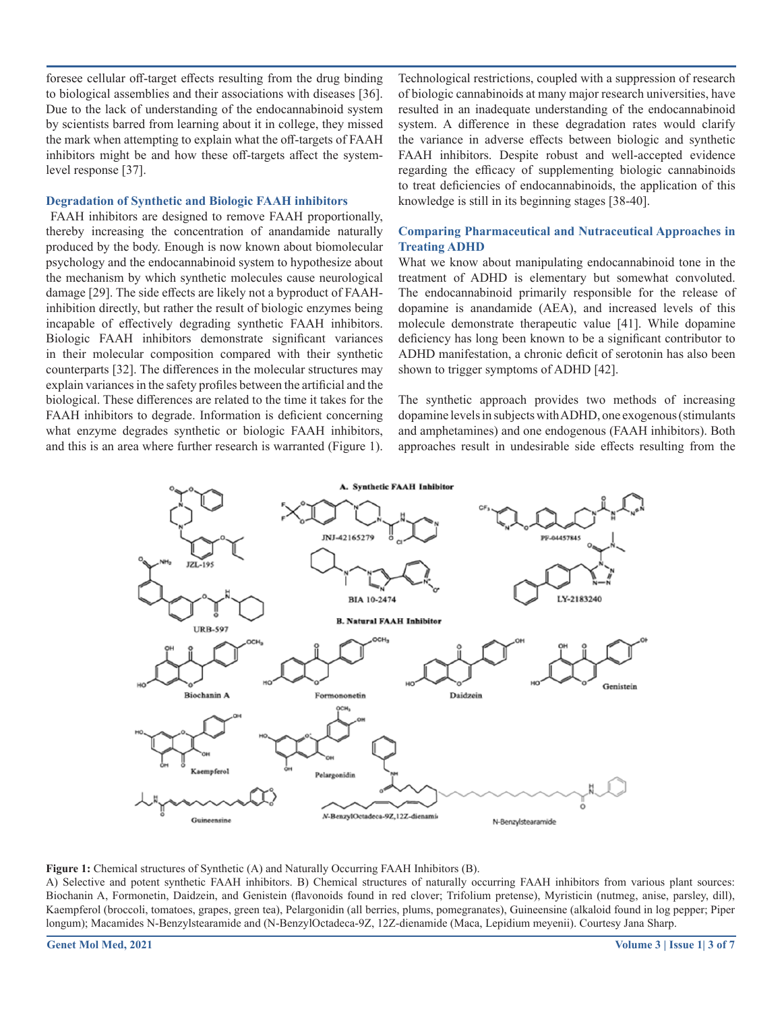foresee cellular off-target effects resulting from the drug binding to biological assemblies and their associations with diseases [36]. Due to the lack of understanding of the endocannabinoid system by scientists barred from learning about it in college, they missed the mark when attempting to explain what the off-targets of FAAH inhibitors might be and how these off-targets affect the systemlevel response [37].

#### **Degradation of Synthetic and Biologic FAAH inhibitors**

 FAAH inhibitors are designed to remove FAAH proportionally, thereby increasing the concentration of anandamide naturally produced by the body. Enough is now known about biomolecular psychology and the endocannabinoid system to hypothesize about the mechanism by which synthetic molecules cause neurological damage [29]. The side effects are likely not a byproduct of FAAHinhibition directly, but rather the result of biologic enzymes being incapable of effectively degrading synthetic FAAH inhibitors. Biologic FAAH inhibitors demonstrate significant variances in their molecular composition compared with their synthetic counterparts [32]. The differences in the molecular structures may explain variances in the safety profiles between the artificial and the biological. These differences are related to the time it takes for the FAAH inhibitors to degrade. Information is deficient concerning what enzyme degrades synthetic or biologic FAAH inhibitors, and this is an area where further research is warranted (Figure 1).

Technological restrictions, coupled with a suppression of research of biologic cannabinoids at many major research universities, have resulted in an inadequate understanding of the endocannabinoid system. A difference in these degradation rates would clarify the variance in adverse effects between biologic and synthetic FAAH inhibitors. Despite robust and well-accepted evidence regarding the efficacy of supplementing biologic cannabinoids to treat deficiencies of endocannabinoids, the application of this knowledge is still in its beginning stages [38-40].

#### **Comparing Pharmaceutical and Nutraceutical Approaches in Treating ADHD**

What we know about manipulating endocannabinoid tone in the treatment of ADHD is elementary but somewhat convoluted. The endocannabinoid primarily responsible for the release of dopamine is anandamide (AEA), and increased levels of this molecule demonstrate therapeutic value [41]. While dopamine deficiency has long been known to be a significant contributor to ADHD manifestation, a chronic deficit of serotonin has also been shown to trigger symptoms of ADHD [42].

The synthetic approach provides two methods of increasing dopamine levels in subjects with ADHD, one exogenous (stimulants and amphetamines) and one endogenous (FAAH inhibitors). Both approaches result in undesirable side effects resulting from the



**Figure 1:** Chemical structures of Synthetic (A) and Naturally Occurring FAAH Inhibitors (B).

A) Selective and potent synthetic FAAH inhibitors. B) Chemical structures of naturally occurring FAAH inhibitors from various plant sources: Biochanin A, Formonetin, Daidzein, and Genistein (flavonoids found in red clover; Trifolium pretense), Myristicin (nutmeg, anise, parsley, dill), Kaempferol (broccoli, tomatoes, grapes, green tea), Pelargonidin (all berries, plums, pomegranates), Guineensine (alkaloid found in log pepper; Piper longum); Macamides N-Benzylstearamide and (N-BenzylOctadeca-9Z, 12Z-dienamide (Maca, Lepidium meyenii). Courtesy Jana Sharp.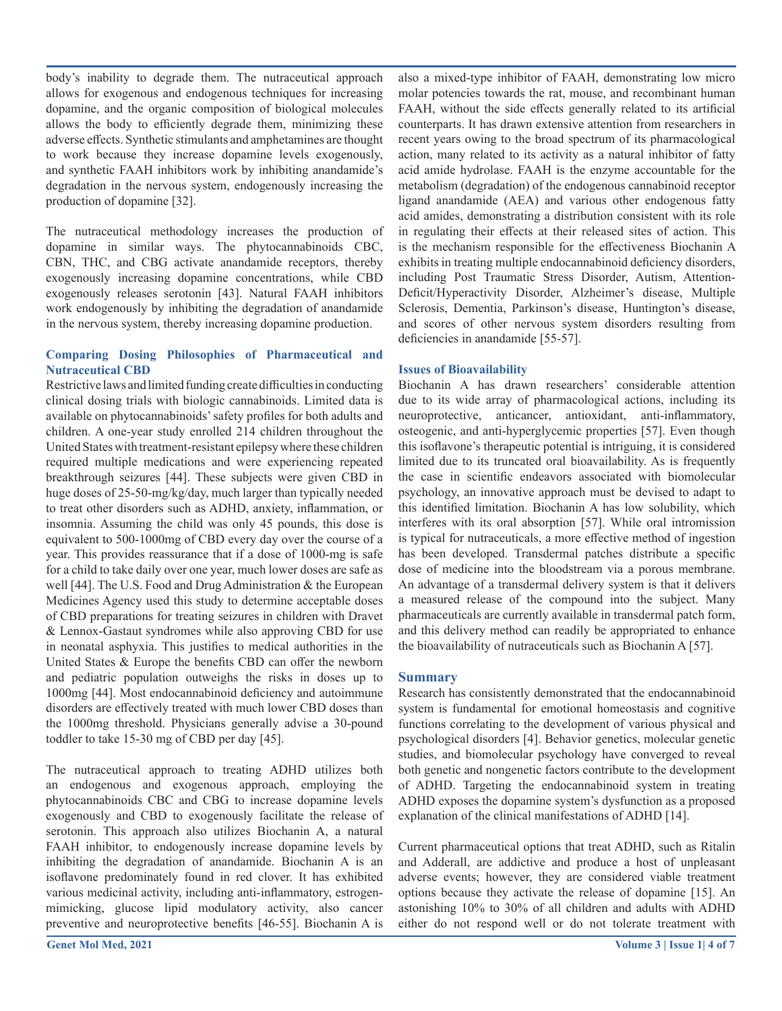body's inability to degrade them. The nutraceutical approach allows for exogenous and endogenous techniques for increasing dopamine, and the organic composition of biological molecules allows the body to efficiently degrade them, minimizing these adverse effects. Synthetic stimulants and amphetamines are thought to work because they increase dopamine levels exogenously, and synthetic FAAH inhibitors work by inhibiting anandamide's degradation in the nervous system, endogenously increasing the production of dopamine [32].

The nutraceutical methodology increases the production of dopamine in similar ways. The phytocannabinoids CBC, CBN, THC, and CBG activate anandamide receptors, thereby exogenously increasing dopamine concentrations, while CBD exogenously releases serotonin [43]. Natural FAAH inhibitors work endogenously by inhibiting the degradation of anandamide in the nervous system, thereby increasing dopamine production.

## **Comparing Dosing Philosophies of Pharmaceutical and Nutraceutical CBD**

Restrictive laws and limited funding create difficulties in conducting clinical dosing trials with biologic cannabinoids. Limited data is available on phytocannabinoids' safety profiles for both adults and children. A one-year study enrolled 214 children throughout the United States with treatment-resistant epilepsy where these children required multiple medications and were experiencing repeated breakthrough seizures [44]. These subjects were given CBD in huge doses of 25-50-mg/kg/day, much larger than typically needed to treat other disorders such as ADHD, anxiety, inflammation, or insomnia. Assuming the child was only 45 pounds, this dose is equivalent to 500-1000mg of CBD every day over the course of a year. This provides reassurance that if a dose of 1000-mg is safe for a child to take daily over one year, much lower doses are safe as well [44]. The U.S. Food and Drug Administration & the European Medicines Agency used this study to determine acceptable doses of CBD preparations for treating seizures in children with Dravet & Lennox-Gastaut syndromes while also approving CBD for use in neonatal asphyxia. This justifies to medical authorities in the United States & Europe the benefits CBD can offer the newborn and pediatric population outweighs the risks in doses up to 1000mg [44]. Most endocannabinoid deficiency and autoimmune disorders are effectively treated with much lower CBD doses than the 1000mg threshold. Physicians generally advise a 30-pound toddler to take 15-30 mg of CBD per day [45].

The nutraceutical approach to treating ADHD utilizes both an endogenous and exogenous approach, employing the phytocannabinoids CBC and CBG to increase dopamine levels exogenously and CBD to exogenously facilitate the release of serotonin. This approach also utilizes Biochanin A, a natural FAAH inhibitor, to endogenously increase dopamine levels by inhibiting the degradation of anandamide. Biochanin A is an isoflavone predominately found in red clover. It has exhibited various medicinal activity, including anti-inflammatory, estrogenmimicking, glucose lipid modulatory activity, also cancer preventive and neuroprotective benefits [46-55]. Biochanin A is

also a mixed-type inhibitor of FAAH, demonstrating low micro molar potencies towards the rat, mouse, and recombinant human FAAH, without the side effects generally related to its artificial counterparts. It has drawn extensive attention from researchers in recent years owing to the broad spectrum of its pharmacological action, many related to its activity as a natural inhibitor of fatty acid amide hydrolase. FAAH is the enzyme accountable for the metabolism (degradation) of the endogenous cannabinoid receptor ligand anandamide (AEA) and various other endogenous fatty acid amides, demonstrating a distribution consistent with its role in regulating their effects at their released sites of action. This is the mechanism responsible for the effectiveness Biochanin A exhibits in treating multiple endocannabinoid deficiency disorders, including Post Traumatic Stress Disorder, Autism, Attention-Deficit/Hyperactivity Disorder, Alzheimer's disease, Multiple Sclerosis, Dementia, Parkinson's disease, Huntington's disease, and scores of other nervous system disorders resulting from deficiencies in anandamide [55-57].

## **Issues of Bioavailability**

Biochanin A has drawn researchers' considerable attention due to its wide array of pharmacological actions, including its neuroprotective, anticancer, antioxidant, anti-inflammatory, osteogenic, and anti-hyperglycemic properties [57]. Even though this isoflavone's therapeutic potential is intriguing, it is considered limited due to its truncated oral bioavailability. As is frequently the case in scientific endeavors associated with biomolecular psychology, an innovative approach must be devised to adapt to this identified limitation. Biochanin A has low solubility, which interferes with its oral absorption [57]. While oral intromission is typical for nutraceuticals, a more effective method of ingestion has been developed. Transdermal patches distribute a specific dose of medicine into the bloodstream via a porous membrane. An advantage of a transdermal delivery system is that it delivers a measured release of the compound into the subject. Many pharmaceuticals are currently available in transdermal patch form, and this delivery method can readily be appropriated to enhance the bioavailability of nutraceuticals such as Biochanin A [57].

## **Summary**

Research has consistently demonstrated that the endocannabinoid system is fundamental for emotional homeostasis and cognitive functions correlating to the development of various physical and psychological disorders [4]. Behavior genetics, molecular genetic studies, and biomolecular psychology have converged to reveal both genetic and nongenetic factors contribute to the development of ADHD. Targeting the endocannabinoid system in treating ADHD exposes the dopamine system's dysfunction as a proposed explanation of the clinical manifestations of ADHD [14].

Current pharmaceutical options that treat ADHD, such as Ritalin and Adderall, are addictive and produce a host of unpleasant adverse events; however, they are considered viable treatment options because they activate the release of dopamine [15]. An astonishing 10% to 30% of all children and adults with ADHD either do not respond well or do not tolerate treatment with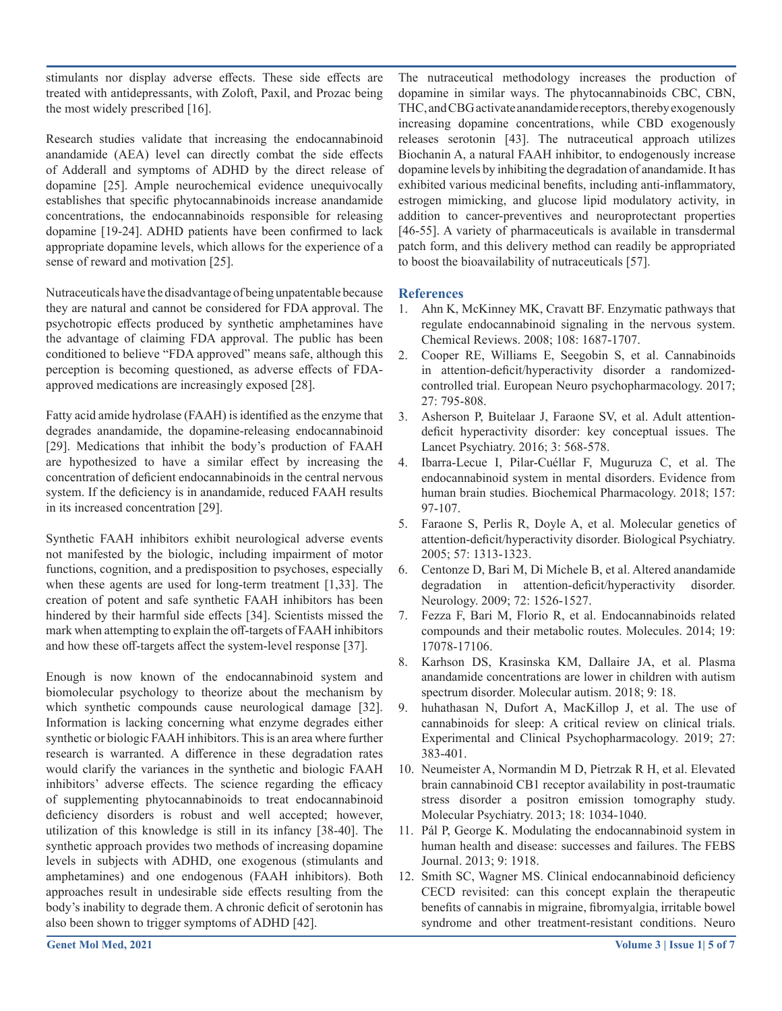stimulants nor display adverse effects. These side effects are treated with antidepressants, with Zoloft, Paxil, and Prozac being the most widely prescribed [16].

Research studies validate that increasing the endocannabinoid anandamide (AEA) level can directly combat the side effects of Adderall and symptoms of ADHD by the direct release of dopamine [25]. Ample neurochemical evidence unequivocally establishes that specific phytocannabinoids increase anandamide concentrations, the endocannabinoids responsible for releasing dopamine [19-24]. ADHD patients have been confirmed to lack appropriate dopamine levels, which allows for the experience of a sense of reward and motivation [25].

Nutraceuticals have the disadvantage of being unpatentable because they are natural and cannot be considered for FDA approval. The psychotropic effects produced by synthetic amphetamines have the advantage of claiming FDA approval. The public has been conditioned to believe "FDA approved" means safe, although this perception is becoming questioned, as adverse effects of FDAapproved medications are increasingly exposed [28].

Fatty acid amide hydrolase (FAAH) is identified as the enzyme that degrades anandamide, the dopamine-releasing endocannabinoid [29]. Medications that inhibit the body's production of FAAH are hypothesized to have a similar effect by increasing the concentration of deficient endocannabinoids in the central nervous system. If the deficiency is in anandamide, reduced FAAH results in its increased concentration [29].

Synthetic FAAH inhibitors exhibit neurological adverse events not manifested by the biologic, including impairment of motor functions, cognition, and a predisposition to psychoses, especially when these agents are used for long-term treatment [1,33]. The creation of potent and safe synthetic FAAH inhibitors has been hindered by their harmful side effects [34]. Scientists missed the mark when attempting to explain the off-targets of FAAH inhibitors and how these off-targets affect the system-level response [37].

Enough is now known of the endocannabinoid system and biomolecular psychology to theorize about the mechanism by which synthetic compounds cause neurological damage [32]. Information is lacking concerning what enzyme degrades either synthetic or biologic FAAH inhibitors. This is an area where further research is warranted. A difference in these degradation rates would clarify the variances in the synthetic and biologic FAAH inhibitors' adverse effects. The science regarding the efficacy of supplementing phytocannabinoids to treat endocannabinoid deficiency disorders is robust and well accepted; however, utilization of this knowledge is still in its infancy [38-40]. The synthetic approach provides two methods of increasing dopamine levels in subjects with ADHD, one exogenous (stimulants and amphetamines) and one endogenous (FAAH inhibitors). Both approaches result in undesirable side effects resulting from the body's inability to degrade them. A chronic deficit of serotonin has also been shown to trigger symptoms of ADHD [42].

The nutraceutical methodology increases the production of dopamine in similar ways. The phytocannabinoids CBC, CBN, THC, and CBG activate anandamide receptors, thereby exogenously increasing dopamine concentrations, while CBD exogenously releases serotonin [43]. The nutraceutical approach utilizes Biochanin A, a natural FAAH inhibitor, to endogenously increase dopamine levels by inhibiting the degradation of anandamide. It has exhibited various medicinal benefits, including anti-inflammatory, estrogen mimicking, and glucose lipid modulatory activity, in addition to cancer-preventives and neuroprotectant properties [46-55]. A variety of pharmaceuticals is available in transdermal patch form, and this delivery method can readily be appropriated to boost the bioavailability of nutraceuticals [57].

## **References**

- 1. Ahn K, McKinney MK, Cravatt BF. Enzymatic pathways that regulate endocannabinoid signaling in the nervous system. Chemical Reviews. 2008; 108: 1687-1707.
- 2. Cooper RE, Williams E, Seegobin S, et al. Cannabinoids in attention-deficit/hyperactivity disorder a randomizedcontrolled trial. European Neuro psychopharmacology. 2017; 27: 795-808.
- 3. Asherson P, Buitelaar J, Faraone SV, et al. Adult attentiondeficit hyperactivity disorder: key conceptual issues. The Lancet Psychiatry. 2016; 3: 568-578.
- 4. Ibarra-Lecue I, Pilar-Cuéllar F, Muguruza C, et al. The endocannabinoid system in mental disorders. Evidence from human brain studies. Biochemical Pharmacology. 2018; 157: 97-107.
- 5. Faraone S, Perlis R, Doyle A, et al. Molecular genetics of attention-deficit/hyperactivity disorder. Biological Psychiatry. 2005; 57: 1313-1323.
- 6. Centonze D, Bari M, Di Michele B, et al. Altered anandamide degradation in attention-deficit/hyperactivity disorder. Neurology. 2009; 72: 1526-1527.
- 7. Fezza F, Bari M, Florio R, et al. Endocannabinoids related compounds and their metabolic routes. Molecules. 2014; 19: 17078-17106.
- 8. Karhson DS, Krasinska KM, Dallaire JA, et al. Plasma anandamide concentrations are lower in children with autism spectrum disorder. Molecular autism. 2018; 9: 18.
- 9. huhathasan N, Dufort A, MacKillop J, et al. The use of cannabinoids for sleep: A critical review on clinical trials. Experimental and Clinical Psychopharmacology. 2019; 27: 383-401.
- 10. Neumeister A, Normandin M D, Pietrzak R H, et al. Elevated brain cannabinoid CB1 receptor availability in post-traumatic stress disorder a positron emission tomography study. Molecular Psychiatry. 2013; 18: 1034-1040.
- 11. Pál P, George K. Modulating the endocannabinoid system in human health and disease: successes and failures. The FEBS Journal. 2013; 9: 1918.
- 12. Smith SC, Wagner MS. Clinical endocannabinoid deficiency CECD revisited: can this concept explain the therapeutic benefits of cannabis in migraine, fibromyalgia, irritable bowel syndrome and other treatment-resistant conditions. Neuro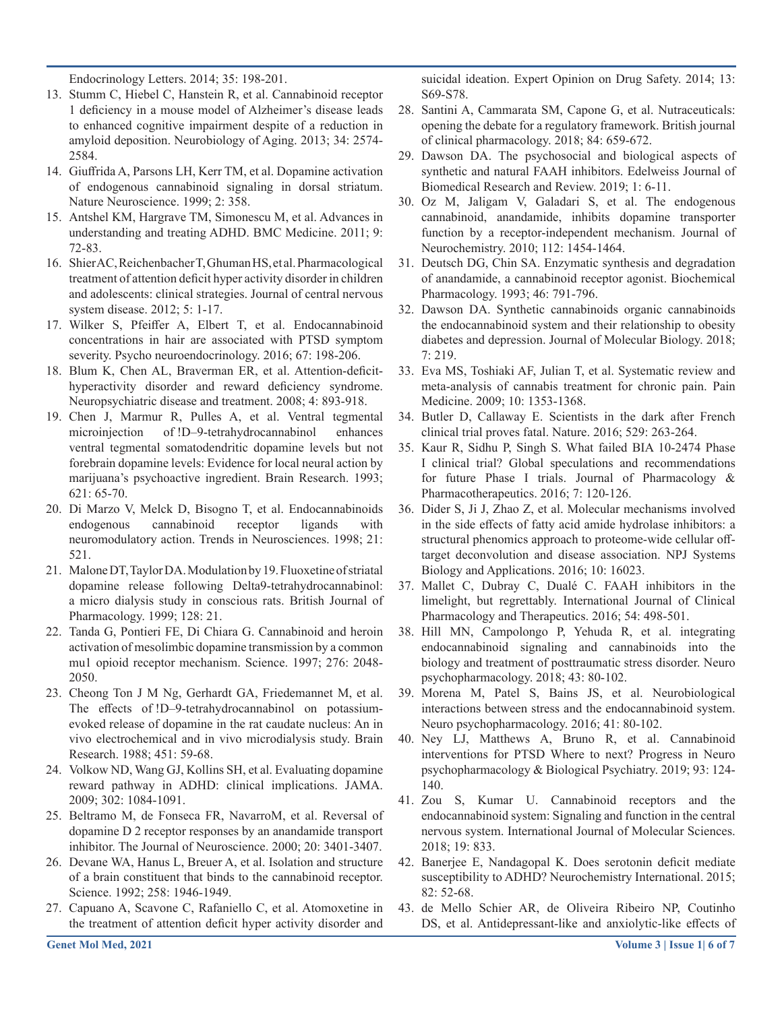Endocrinology Letters. 2014; 35: 198-201.

- 13. Stumm C, Hiebel C, Hanstein R, et al. Cannabinoid receptor 1 deficiency in a mouse model of Alzheimer's disease leads to enhanced cognitive impairment despite of a reduction in amyloid deposition. Neurobiology of Aging. 2013; 34: 2574- 2584.
- 14. Giuffrida A, Parsons LH, Kerr TM, et al. Dopamine activation of endogenous cannabinoid signaling in dorsal striatum. Nature Neuroscience. 1999; 2: 358.
- 15. Antshel KM, Hargrave TM, Simonescu M, et al. Advances in understanding and treating ADHD. BMC Medicine. 2011; 9: 72-83.
- 16. Shier AC, Reichenbacher T, Ghuman HS, et al. Pharmacological treatment of attention deficit hyper activity disorder in children and adolescents: clinical strategies. Journal of central nervous system disease. 2012; 5: 1-17.
- 17. Wilker S, Pfeiffer A, Elbert T, et al. Endocannabinoid concentrations in hair are associated with PTSD symptom severity. Psycho neuroendocrinology. 2016; 67: 198-206.
- 18. Blum K, Chen AL, Braverman ER, et al. Attention-deficithyperactivity disorder and reward deficiency syndrome. Neuropsychiatric disease and treatment. 2008; 4: 893-918.
- 19. Chen J, Marmur R, Pulles A, et al. Ventral tegmental microinjection of !D–9-tetrahydrocannabinol enhances ventral tegmental somatodendritic dopamine levels but not forebrain dopamine levels: Evidence for local neural action by marijuana's psychoactive ingredient. Brain Research. 1993; 621: 65-70.
- 20. Di Marzo V, Melck D, Bisogno T, et al. Endocannabinoids endogenous cannabinoid receptor ligands with neuromodulatory action. Trends in Neurosciences. 1998; 21: 521.
- 21. Malone DT, Taylor DA. Modulation by 19. Fluoxetine of striatal dopamine release following Delta9-tetrahydrocannabinol: a micro dialysis study in conscious rats. British Journal of Pharmacology. 1999; 128: 21.
- 22. Tanda G, Pontieri FE, Di Chiara G. Cannabinoid and heroin activation of mesolimbic dopamine transmission by a common mu1 opioid receptor mechanism. Science. 1997; 276: 2048- 2050.
- 23. Cheong Ton J M Ng, Gerhardt GA, Friedemannet M, et al. The effects of !D–9-tetrahydrocannabinol on potassiumevoked release of dopamine in the rat caudate nucleus: An in vivo electrochemical and in vivo microdialysis study. Brain Research. 1988; 451: 59-68.
- 24. Volkow ND, Wang GJ, Kollins SH, et al. Evaluating dopamine reward pathway in ADHD: clinical implications. JAMA. 2009; 302: 1084-1091.
- 25. Beltramo M, de Fonseca FR, NavarroM, et al. Reversal of dopamine D 2 receptor responses by an anandamide transport inhibitor. The Journal of Neuroscience. 2000; 20: 3401-3407.
- 26. Devane WA, Hanus L, Breuer A, et al. Isolation and structure of a brain constituent that binds to the cannabinoid receptor. Science. 1992; 258: 1946-1949.
- 27. Capuano A, Scavone C, Rafaniello C, et al. Atomoxetine in the treatment of attention deficit hyper activity disorder and

suicidal ideation. Expert Opinion on Drug Safety. 2014; 13: S69-S78.

- 28. Santini A, Cammarata SM, Capone G, et al. Nutraceuticals: opening the debate for a regulatory framework. British journal of clinical pharmacology. 2018; 84: 659-672.
- 29. Dawson DA. The psychosocial and biological aspects of synthetic and natural FAAH inhibitors. Edelweiss Journal of Biomedical Research and Review. 2019; 1: 6-11.
- 30. Oz M, Jaligam V, Galadari S, et al. The endogenous cannabinoid, anandamide, inhibits dopamine transporter function by a receptor-independent mechanism. Journal of Neurochemistry. 2010; 112: 1454-1464.
- 31. Deutsch DG, Chin SA. Enzymatic synthesis and degradation of anandamide, a cannabinoid receptor agonist. Biochemical Pharmacology. 1993; 46: 791-796.
- 32. Dawson DA. Synthetic cannabinoids organic cannabinoids the endocannabinoid system and their relationship to obesity diabetes and depression. Journal of Molecular Biology. 2018; 7: 219.
- 33. Eva MS, Toshiaki AF, Julian T, et al. Systematic review and meta-analysis of cannabis treatment for chronic pain. Pain Medicine. 2009; 10: 1353-1368.
- 34. Butler D, Callaway E. Scientists in the dark after French clinical trial proves fatal. Nature. 2016; 529: 263-264.
- 35. Kaur R, Sidhu P, Singh S. What failed BIA 10-2474 Phase I clinical trial? Global speculations and recommendations for future Phase I trials. Journal of Pharmacology & Pharmacotherapeutics. 2016; 7: 120-126.
- 36. Dider S, Ji J, Zhao Z, et al. Molecular mechanisms involved in the side effects of fatty acid amide hydrolase inhibitors: a structural phenomics approach to proteome-wide cellular offtarget deconvolution and disease association. NPJ Systems Biology and Applications. 2016; 10: 16023.
- 37. Mallet C, Dubray C, Dualé C. FAAH inhibitors in the limelight, but regrettably. International Journal of Clinical Pharmacology and Therapeutics. 2016; 54: 498-501.
- 38. Hill MN, Campolongo P, Yehuda R, et al. integrating endocannabinoid signaling and cannabinoids into the biology and treatment of posttraumatic stress disorder. Neuro psychopharmacology. 2018; 43: 80-102.
- 39. Morena M, Patel S, Bains JS, et al. Neurobiological interactions between stress and the endocannabinoid system. Neuro psychopharmacology. 2016; 41: 80-102.
- 40. Ney LJ, Matthews A, Bruno R, et al. Cannabinoid interventions for PTSD Where to next? Progress in Neuro psychopharmacology & Biological Psychiatry. 2019; 93: 124- 140.
- 41. Zou S, Kumar U. Cannabinoid receptors and the endocannabinoid system: Signaling and function in the central nervous system. International Journal of Molecular Sciences. 2018; 19: 833.
- 42. Banerjee E, Nandagopal K. Does serotonin deficit mediate susceptibility to ADHD? Neurochemistry International. 2015; 82: 52-68.
- 43. de Mello Schier AR, de Oliveira Ribeiro NP, Coutinho DS, et al. Antidepressant-like and anxiolytic-like effects of